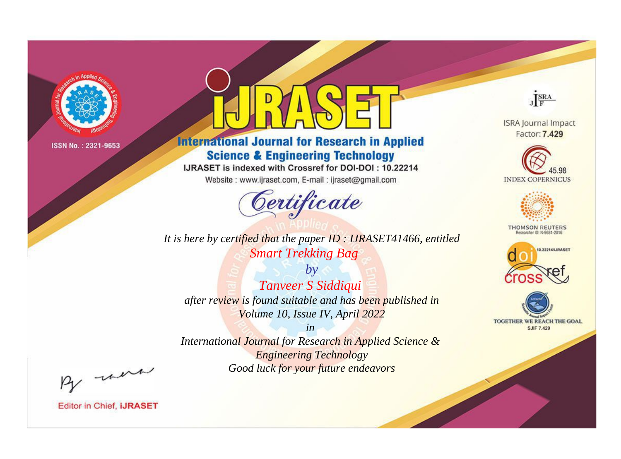

# **International Journal for Research in Applied Science & Engineering Technology**

IJRASET is indexed with Crossref for DOI-DOI: 10.22214

Website: www.ijraset.com, E-mail: ijraset@gmail.com



**ISRA Journal Impact** Factor: 7.429

JERA





**THOMSON REUTERS** 



TOGETHER WE REACH THE GOAL **SJIF 7.429** 

*It is here by certified that the paper ID : IJRASET41466, entitled Smart Trekking Bag*

*Tanveer S Siddiqui after review is found suitable and has been published in Volume 10, Issue IV, April 2022*

*by*

*in International Journal for Research in Applied Science &* 

*Engineering Technology Good luck for your future endeavors*

By morn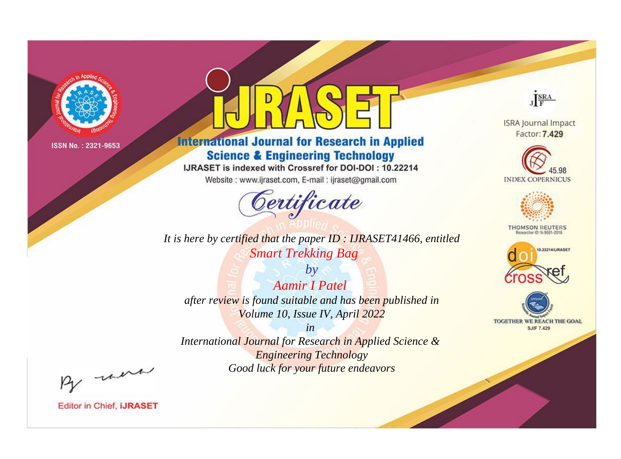

# **International Journal for Research in Applied Science & Engineering Technology**

IJRASET is indexed with Crossref for DOI-DOI: 10.22214

Website: www.ijraset.com, E-mail: ijraset@gmail.com



*It is here by certified that the paper ID : IJRASET41466, entitled Smart Trekking Bag*

*by Aamir I Patel after review is found suitable and has been published in Volume 10, Issue IV, April 2022*

*in International Journal for Research in Applied Science & Engineering Technology Good luck for your future endeavors*



**Editor in Chief, IJRASET** 

**ISRA Journal Impact** Factor: 7.429

JERA





**THOMSON REUTERS** 



TOGETHER WE REACH THE GOAL **SJIF 7.429**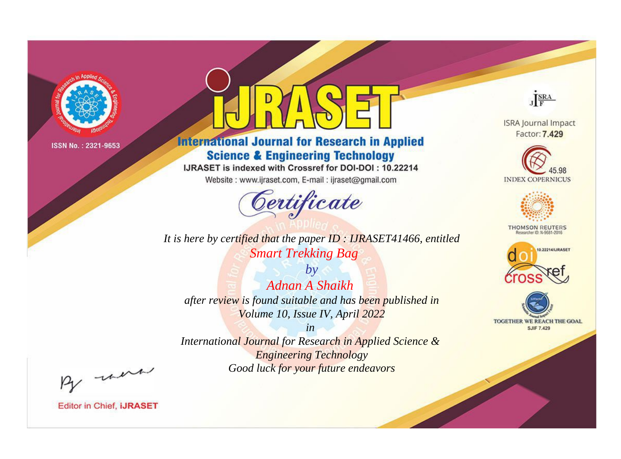

# **International Journal for Research in Applied Science & Engineering Technology**

IJRASET is indexed with Crossref for DOI-DOI: 10.22214

Website: www.ijraset.com, E-mail: ijraset@gmail.com



*It is here by certified that the paper ID : IJRASET41466, entitled Smart Trekking Bag*

*by Adnan A Shaikh after review is found suitable and has been published in Volume 10, Issue IV, April 2022*

*in International Journal for Research in Applied Science & Engineering Technology Good luck for your future endeavors*



**ISRA Journal Impact** Factor: 7.429





**THOMSON REUTERS** 





By morn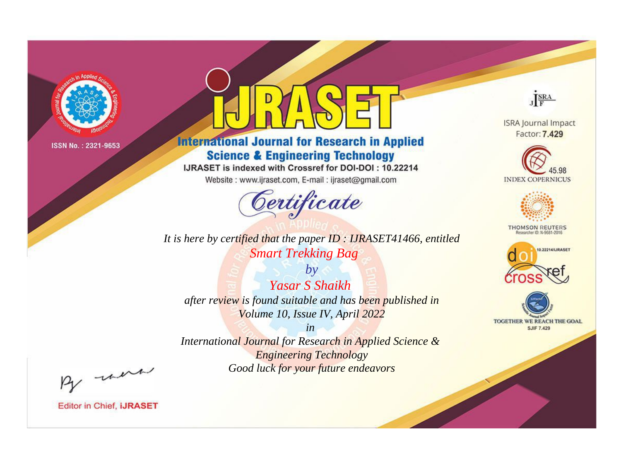

# **International Journal for Research in Applied Science & Engineering Technology**

IJRASET is indexed with Crossref for DOI-DOI: 10.22214

Website: www.ijraset.com, E-mail: ijraset@gmail.com



*It is here by certified that the paper ID : IJRASET41466, entitled Smart Trekking Bag*

*by Yasar S Shaikh after review is found suitable and has been published in Volume 10, Issue IV, April 2022*

*in International Journal for Research in Applied Science & Engineering Technology Good luck for your future endeavors*



**ISRA Journal Impact** Factor: 7.429





**THOMSON REUTERS** 





By morn